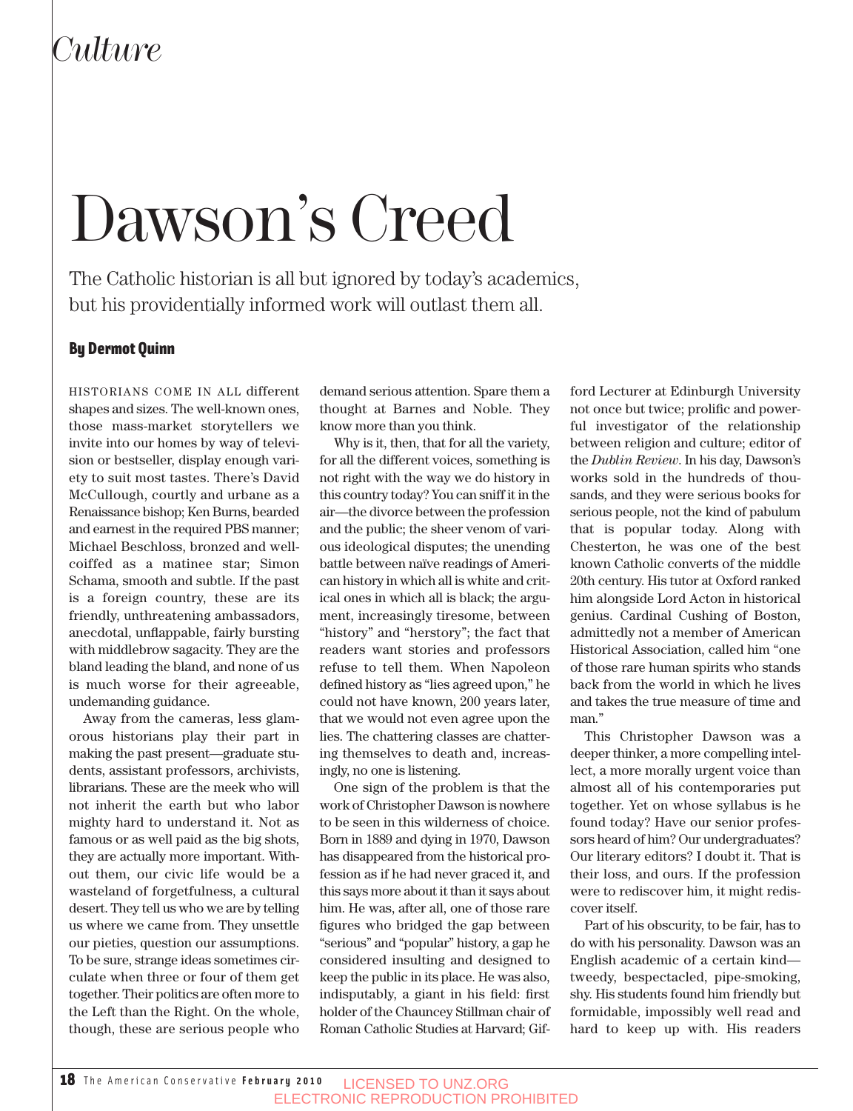### *Culture*

# Dawson's Creed

The Catholic historian is all but ignored by today's academics, but his providentially informed work will outlast them all.

#### By Dermot Quinn

HISTORIANS COME IN ALL different shapes and sizes. The well-known ones, those mass-market storytellers we invite into our homes by way of television or bestseller, display enough variety to suit most tastes. There's David McCullough, courtly and urbane as a Renaissance bishop; Ken Burns, bearded and earnest in the required PBS manner; Michael Beschloss, bronzed and wellcoiffed as a matinee star; Simon Schama, smooth and subtle. If the past is a foreign country, these are its friendly, unthreatening ambassadors, anecdotal, unflappable, fairly bursting with middlebrow sagacity. They are the bland leading the bland, and none of us is much worse for their agreeable, undemanding guidance.

Away from the cameras, less glamorous historians play their part in making the past present—graduate students, assistant professors, archivists, librarians. These are the meek who will not inherit the earth but who labor mighty hard to understand it. Not as famous or as well paid as the big shots, they are actually more important. Without them, our civic life would be a wasteland of forgetfulness, a cultural desert. They tell us who we are by telling us where we came from. They unsettle our pieties, question our assumptions. To be sure, strange ideas sometimes circulate when three or four of them get together. Their politics are often more to the Left than the Right. On the whole, though, these are serious people who

demand serious attention. Spare them a thought at Barnes and Noble. They know more than you think.

Why is it, then, that for all the variety, for all the different voices, something is not right with the way we do history in this country today? You can sniff it in the air—the divorce between the profession and the public; the sheer venom of various ideological disputes; the unending battle between naïve readings of American history in which all is white and critical ones in which all is black; the argument, increasingly tiresome, between "history" and "herstory"; the fact that readers want stories and professors refuse to tell them. When Napoleon defined history as "lies agreed upon," he could not have known, 200 years later, that we would not even agree upon the lies. The chattering classes are chattering themselves to death and, increasingly, no one is listening.

One sign of the problem is that the work of Christopher Dawson is nowhere to be seen in this wilderness of choice. Born in 1889 and dying in 1970, Dawson has disappeared from the historical profession as if he had never graced it, and this says more about it than it says about him. He was, after all, one of those rare figures who bridged the gap between "serious" and "popular" history, a gap he considered insulting and designed to keep the public in its place. He was also, indisputably, a giant in his field: first holder of the Chauncey Stillman chair of Roman Catholic Studies at Harvard; Gifford Lecturer at Edinburgh University not once but twice; prolific and powerful investigator of the relationship between religion and culture; editor of the *Dublin Review*. In his day, Dawson's works sold in the hundreds of thousands, and they were serious books for serious people, not the kind of pabulum that is popular today. Along with Chesterton, he was one of the best known Catholic converts of the middle 20th century. His tutor at Oxford ranked him alongside Lord Acton in historical genius. Cardinal Cushing of Boston, admittedly not a member of American Historical Association, called him "one of those rare human spirits who stands back from the world in which he lives and takes the true measure of time and man."

This Christopher Dawson was a deeper thinker, a more compelling intellect, a more morally urgent voice than almost all of his contemporaries put together. Yet on whose syllabus is he found today? Have our senior professors heard of him? Our undergraduates? Our literary editors? I doubt it. That is their loss, and ours. If the profession were to rediscover him, it might rediscover itself.

Part of his obscurity, to be fair, has to do with his personality. Dawson was an English academic of a certain kind tweedy, bespectacled, pipe-smoking, shy. His students found him friendly but formidable, impossibly well read and hard to keep up with. His readers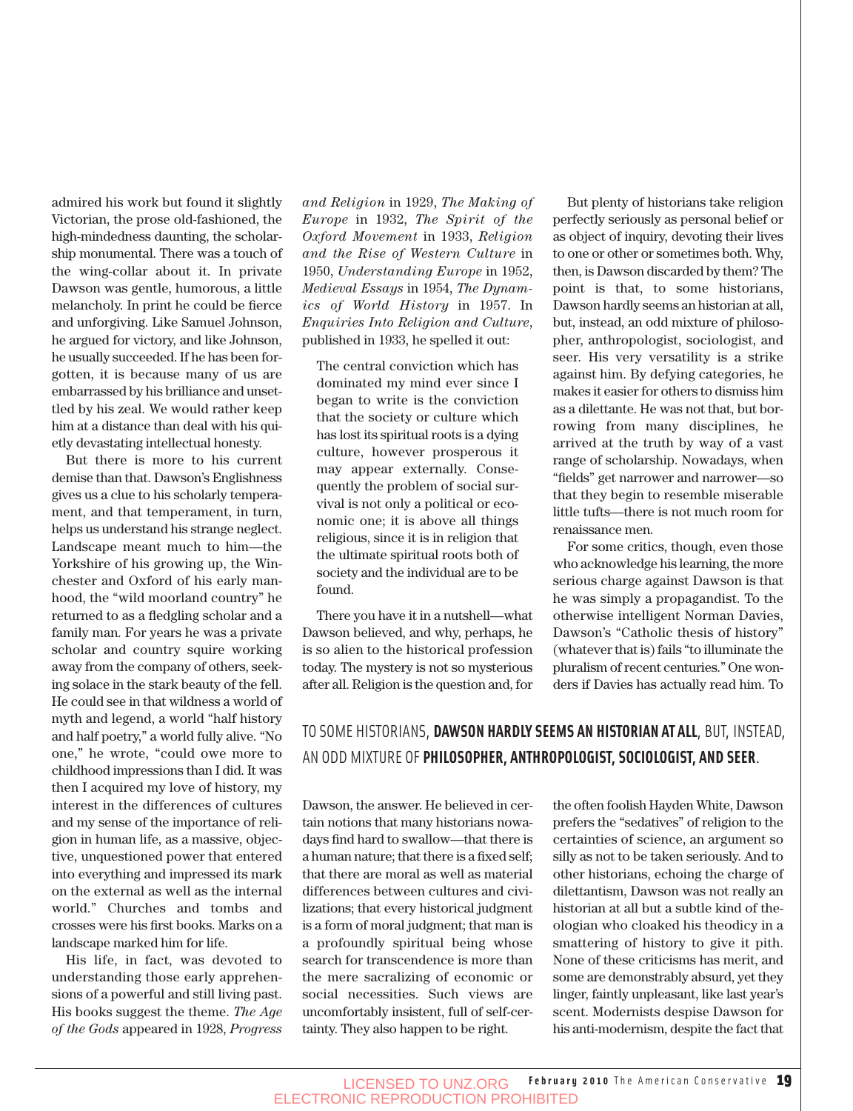admired his work but found it slightly Victorian, the prose old-fashioned, the high-mindedness daunting, the scholarship monumental. There was a touch of the wing-collar about it. In private Dawson was gentle, humorous, a little melancholy. In print he could be fierce and unforgiving. Like Samuel Johnson, he argued for victory, and like Johnson, he usually succeeded. If he has been forgotten, it is because many of us are embarrassed by his brilliance and unsettled by his zeal. We would rather keep him at a distance than deal with his quietly devastating intellectual honesty.

But there is more to his current demise than that. Dawson's Englishness gives us a clue to his scholarly temperament, and that temperament, in turn, helps us understand his strange neglect. Landscape meant much to him—the Yorkshire of his growing up, the Winchester and Oxford of his early manhood, the "wild moorland country" he returned to as a fledgling scholar and a family man. For years he was a private scholar and country squire working away from the company of others, seeking solace in the stark beauty of the fell. He could see in that wildness a world of myth and legend, a world "half history and half poetry," a world fully alive. "No one," he wrote, "could owe more to childhood impressions than I did. It was then I acquired my love of history, my interest in the differences of cultures and my sense of the importance of religion in human life, as a massive, objective, unquestioned power that entered into everything and impressed its mark on the external as well as the internal world." Churches and tombs and crosses were his first books. Marks on a landscape marked him for life.

His life, in fact, was devoted to understanding those early apprehensions of a powerful and still living past. His books suggest the theme. *The Age of the Gods* appeared in 1928, *Progress* *and Religion* in 1929, *The Making of Europe* in 1932, *The Spirit of the Oxford Movement* in 1933, *Religion and the Rise of Western Culture* in 1950, *Understanding Europe* in 1952, *Medieval Essays* in 1954, *The Dynamics of World History* in 1957. In *Enquiries Into Religion and Culture*, published in 1933, he spelled it out:

The central conviction which has dominated my mind ever since I began to write is the conviction that the society or culture which has lost its spiritual roots is a dying culture, however prosperous it may appear externally. Consequently the problem of social survival is not only a political or economic one; it is above all things religious, since it is in religion that the ultimate spiritual roots both of society and the individual are to be found.

There you have it in a nutshell—what Dawson believed, and why, perhaps, he is so alien to the historical profession today. The mystery is not so mysterious after all. Religion is the question and, for

But plenty of historians take religion perfectly seriously as personal belief or as object of inquiry, devoting their lives to one or other or sometimes both. Why, then, is Dawson discarded by them? The point is that, to some historians, Dawson hardly seems an historian at all, but, instead, an odd mixture of philosopher, anthropologist, sociologist, and seer. His very versatility is a strike against him. By defying categories, he makes it easier for others to dismiss him as a dilettante. He was not that, but borrowing from many disciplines, he arrived at the truth by way of a vast range of scholarship. Nowadays, when "fields" get narrower and narrower—so that they begin to resemble miserable little tufts—there is not much room for renaissance men.

For some critics, though, even those who acknowledge his learning, the more serious charge against Dawson is that he was simply a propagandist. To the otherwise intelligent Norman Davies, Dawson's "Catholic thesis of history" (whatever that is) fails "to illuminate the pluralism of recent centuries." One wonders if Davies has actually read him. To

#### TO SOME HISTORIANS, **DAWSON HARDLY SEEMS AN HISTORIAN AT ALL**, BUT, INSTEAD, AN ODD MIXTURE OF **PHILOSOPHER, ANTHROPOLOGIST, SOCIOLOGIST, AND SEER**.

Dawson, the answer. He believed in certain notions that many historians nowadays find hard to swallow—that there is a human nature; that there is a fixed self; that there are moral as well as material differences between cultures and civilizations; that every historical judgment is a form of moral judgment; that man is a profoundly spiritual being whose search for transcendence is more than the mere sacralizing of economic or social necessities. Such views are uncomfortably insistent, full of self-certainty. They also happen to be right.

the often foolish Hayden White, Dawson prefers the "sedatives" of religion to the certainties of science, an argument so silly as not to be taken seriously. And to other historians, echoing the charge of dilettantism, Dawson was not really an historian at all but a subtle kind of theologian who cloaked his theodicy in a smattering of history to give it pith. None of these criticisms has merit, and some are demonstrably absurd, yet they linger, faintly unpleasant, like last year's scent. Modernists despise Dawson for his anti-modernism, despite the fact that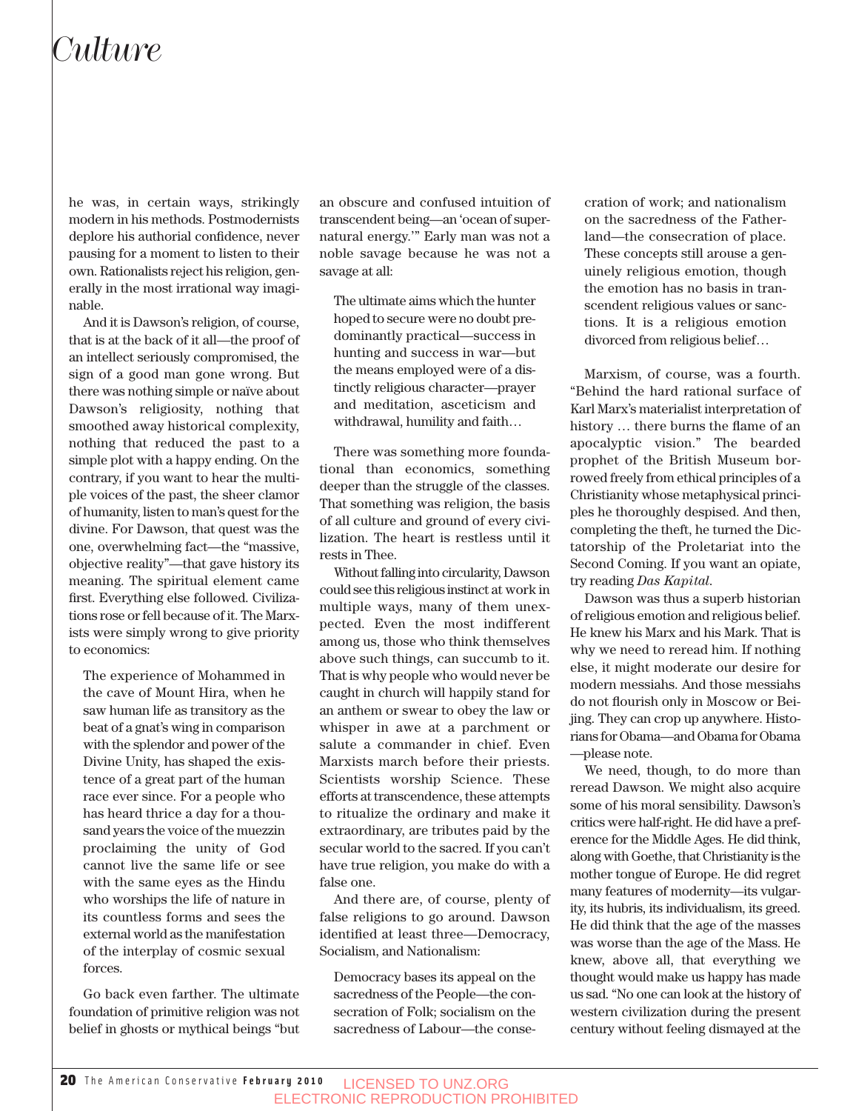### *Culture*

he was, in certain ways, strikingly modern in his methods. Postmodernists deplore his authorial confidence, never pausing for a moment to listen to their own. Rationalists reject his religion, generally in the most irrational way imaginable.

And it is Dawson's religion, of course, that is at the back of it all—the proof of an intellect seriously compromised, the sign of a good man gone wrong. But there was nothing simple or naïve about Dawson's religiosity, nothing that smoothed away historical complexity, nothing that reduced the past to a simple plot with a happy ending. On the contrary, if you want to hear the multiple voices of the past, the sheer clamor of humanity, listen to man's quest for the divine. For Dawson, that quest was the one, overwhelming fact—the "massive, objective reality"—that gave history its meaning. The spiritual element came first. Everything else followed. Civilizations rose or fell because of it. The Marxists were simply wrong to give priority to economics:

The experience of Mohammed in the cave of Mount Hira, when he saw human life as transitory as the beat of a gnat's wing in comparison with the splendor and power of the Divine Unity, has shaped the existence of a great part of the human race ever since. For a people who has heard thrice a day for a thousand years the voice of the muezzin proclaiming the unity of God cannot live the same life or see with the same eyes as the Hindu who worships the life of nature in its countless forms and sees the external world as the manifestation of the interplay of cosmic sexual forces.

Go back even farther. The ultimate foundation of primitive religion was not belief in ghosts or mythical beings "but an obscure and confused intuition of transcendent being—an 'ocean of supernatural energy.'" Early man was not a noble savage because he was not a savage at all:

The ultimate aims which the hunter hoped to secure were no doubt predominantly practical—success in hunting and success in war—but the means employed were of a distinctly religious character—prayer and meditation, asceticism and withdrawal, humility and faith…

There was something more foundational than economics, something deeper than the struggle of the classes. That something was religion, the basis of all culture and ground of every civilization. The heart is restless until it rests in Thee.

Without falling into circularity, Dawson could see this religious instinct at work in multiple ways, many of them unexpected. Even the most indifferent among us, those who think themselves above such things, can succumb to it. That is why people who would never be caught in church will happily stand for an anthem or swear to obey the law or whisper in awe at a parchment or salute a commander in chief. Even Marxists march before their priests. Scientists worship Science. These efforts at transcendence, these attempts to ritualize the ordinary and make it extraordinary, are tributes paid by the secular world to the sacred. If you can't have true religion, you make do with a false one.

And there are, of course, plenty of false religions to go around. Dawson identified at least three—Democracy, Socialism, and Nationalism:

Democracy bases its appeal on the sacredness of the People—the consecration of Folk; socialism on the sacredness of Labour—the consecration of work; and nationalism on the sacredness of the Fatherland—the consecration of place. These concepts still arouse a genuinely religious emotion, though the emotion has no basis in transcendent religious values or sanctions. It is a religious emotion divorced from religious belief…

Marxism, of course, was a fourth. "Behind the hard rational surface of Karl Marx's materialist interpretation of history … there burns the flame of an apocalyptic vision." The bearded prophet of the British Museum borrowed freely from ethical principles of a Christianity whose metaphysical principles he thoroughly despised. And then, completing the theft, he turned the Dictatorship of the Proletariat into the Second Coming. If you want an opiate, try reading *Das Kapital*.

Dawson was thus a superb historian of religious emotion and religious belief. He knew his Marx and his Mark. That is why we need to reread him. If nothing else, it might moderate our desire for modern messiahs. And those messiahs do not flourish only in Moscow or Beijing. They can crop up anywhere. Historians for Obama—and Obama for Obama —please note.

We need, though, to do more than reread Dawson. We might also acquire some of his moral sensibility. Dawson's critics were half-right. He did have a preference for the Middle Ages. He did think, along with Goethe, that Christianity is the mother tongue of Europe. He did regret many features of modernity—its vulgarity, its hubris, its individualism, its greed. He did think that the age of the masses was worse than the age of the Mass. He knew, above all, that everything we thought would make us happy has made us sad. "No one can look at the history of western civilization during the present century without feeling dismayed at the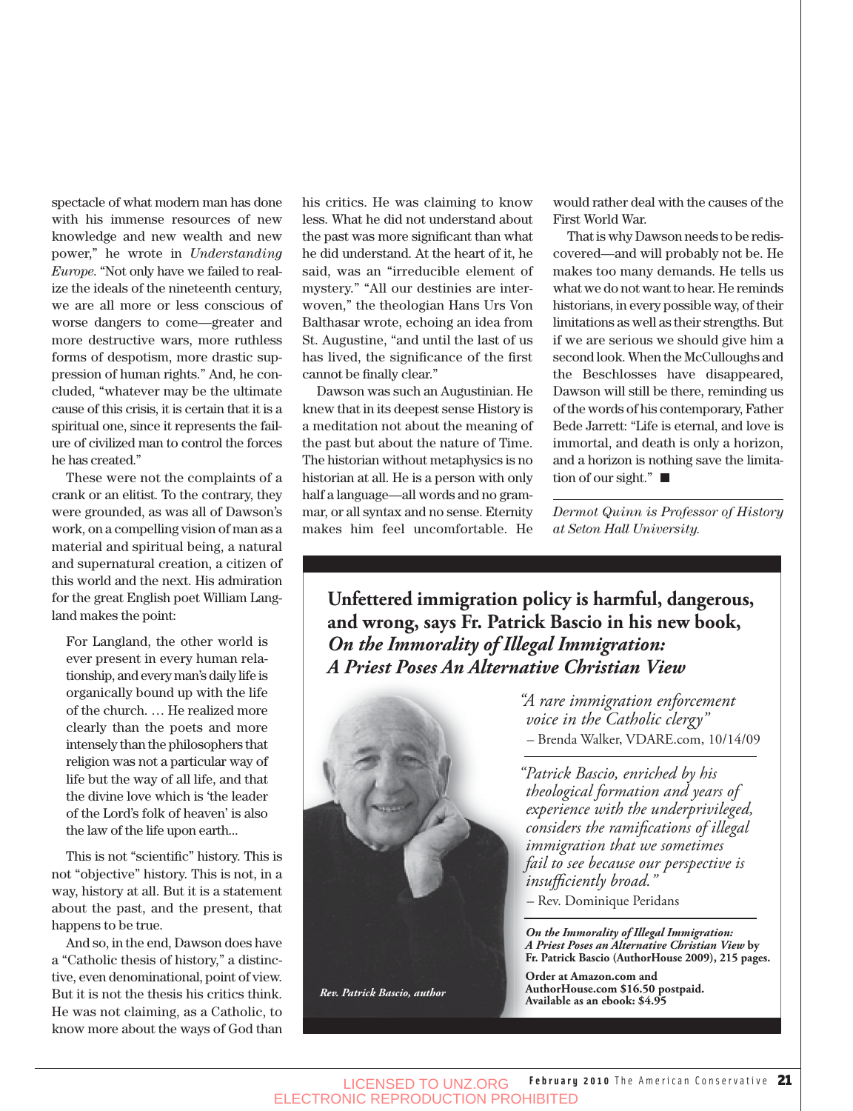spectacle of what modern man has done with his immense resources of new knowledge and new wealth and new power," he wrote in *Understanding Europe*. "Not only have we failed to realize the ideals of the nineteenth century, we are all more or less conscious of worse dangers to come—greater and more destructive wars, more ruthless forms of despotism, more drastic suppression of human rights." And, he concluded, "whatever may be the ultimate cause of this crisis, it is certain that it is a spiritual one, since it represents the failure of civilized man to control the forces he has created."

These were not the complaints of a crank or an elitist. To the contrary, they were grounded, as was all of Dawson's work, on a compelling vision of man as a material and spiritual being, a natural and supernatural creation, a citizen of this world and the next. His admiration for the great English poet William Langland makes the point:

For Langland, the other world is ever present in every human relationship, and every man's daily life is organically bound up with the life of the church. … He realized more clearly than the poets and more intensely than the philosophers that religion was not a particular way of life but the way of all life, and that the divine love which is 'the leader of the Lord's folk of heaven' is also the law of the life upon earth...

This is not "scientific" history. This is not "objective" history. This is not, in a way, history at all. But it is a statement about the past, and the present, that happens to be true.

And so, in the end, Dawson does have a "Catholic thesis of history," a distinctive, even denominational, point of view. But it is not the thesis his critics think. He was not claiming, as a Catholic, to know more about the ways of God than

his critics. He was claiming to know less. What he did not understand about the past was more significant than what he did understand. At the heart of it, he said, was an "irreducible element of mystery." "All our destinies are interwoven," the theologian Hans Urs Von Balthasar wrote, echoing an idea from St. Augustine, "and until the last of us has lived, the significance of the first cannot be finally clear."

Dawson was such an Augustinian. He knew that in its deepest sense History is a meditation not about the meaning of the past but about the nature of Time. The historian without metaphysics is no historian at all. He is a person with only half a language—all words and no grammar, or all syntax and no sense. Eternity makes him feel uncomfortable. He would rather deal with the causes of the First World War.

That is why Dawson needs to be rediscovered—and will probably not be. He makes too many demands. He tells us what we do not want to hear. He reminds historians, in every possible way, of their limitations as well as their strengths. But if we are serious we should give him a second look. When the McCulloughs and the Beschlosses have disappeared, Dawson will still be there, reminding us of the words of his contemporary, Father Bede Jarrett: "Life is eternal, and love is immortal, and death is only a horizon, and a horizon is nothing save the limitation of our sight." $\blacksquare$ 

*Dermot Quinn is Professor of History at Seton Hall University.* 

**Unfettered immigration policy is harmful, dangerous, and wrong, says Fr. Patrick Bascio in his new book,**  *On the Immorality of Illegal Immigration:* 



*"A rare immigration enforcement voice in the Catholic clergy"* – Brenda Walker, VDARE.com, 10/14/09

*"Patrick Bascio, enriched by his theological formation and years of experience with the underprivileged, considers the ramifications of illegal immigration that we sometimes fail to see because our perspective is insufficiently broad."*

– Rev. Dominique Peridans

*On the Immorality of Illegal Immigration: A Priest Poses an Alternative Christian View* **by Fr. Patrick Bascio (AuthorHouse 2009), 215 pages.** 

**Order at Amazon.com and AuthorHouse.com \$16.50 postpaid. Available as an ebook: \$4.95**